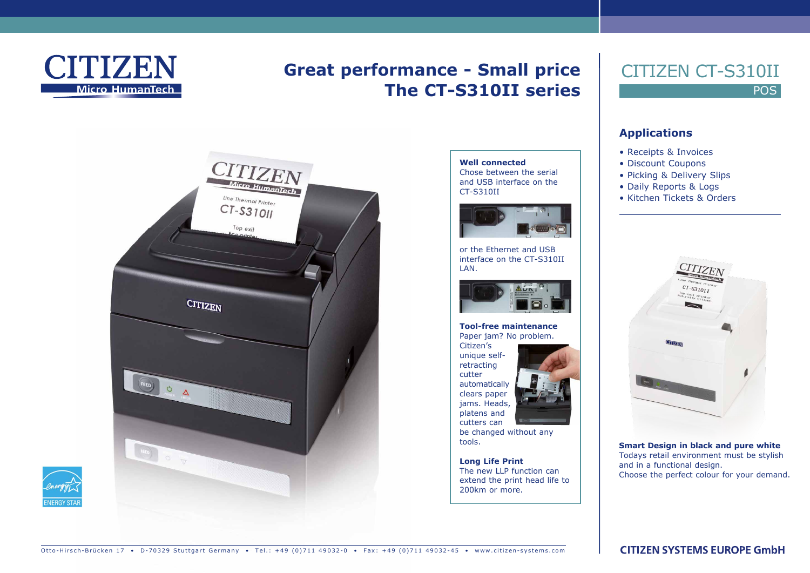

# **Great performance - Small price The CT-S310II series**



**Well connected** Chose between the serial and USB interface on the CT-S310II



or the Ethernet and USB interface on the CT-S310II LAN.



**Tool-free maintenance** Paper jam? No problem. Citizen's unique self-

retracting cutter automatically clears paper jams. Heads, platens and cutters can

be changed without any tools.

**Long Life Print** The new LLP function can extend the print head life to 200km or more.

## POS CITIZEN CT-S310II

#### **Applications**

- Receipts & Invoices
- Discount Coupons
- Picking & Delivery Slips
- Daily Reports & Logs
- Kitchen Tickets & Orders



**Smart Design in black and pure white** Todays retail environment must be stylish and in a functional design. Choose the perfect colour for your demand.